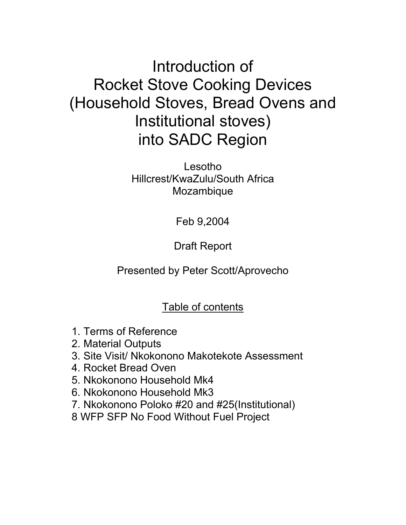# Introduction of Rocket Stove Cooking Devices (Household Stoves, Bread Ovens and Institutional stoves) into SADC Region

Lesotho Hillcrest/KwaZulu/South Africa Mozambique

Feb 9,2004

Draft Report

Presented by Peter Scott/Aprovecho

# Table of contents

- 1. Terms of Reference
- 2. Material Outputs
- 3. Site Visit/ Nkokonono Makotekote Assessment
- 4. Rocket Bread Oven
- 5. Nkokonono Household Mk4
- 6. Nkokonono Household Mk3
- 7. Nkokonono Poloko #20 and #25(Institutional)
- 8 WFP SFP No Food Without Fuel Project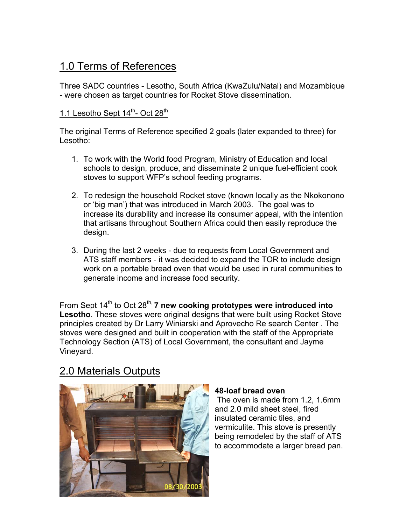# 1.0 Terms of References

Three SADC countries - Lesotho, South Africa (KwaZulu/Natal) and Mozambique - were chosen as target countries for Rocket Stove dissemination.

### 1.1 Lesotho Sept  $14^{\text{th}}$ - Oct  $28^{\text{th}}$

The original Terms of Reference specified 2 goals (later expanded to three) for Lesotho:

- 1. To work with the World food Program, Ministry of Education and local schools to design, produce, and disseminate 2 unique fuel-efficient cook stoves to support WFP's school feeding programs.
- 2. To redesign the household Rocket stove (known locally as the Nkokonono or 'big man') that was introduced in March 2003. The goal was to increase its durability and increase its consumer appeal, with the intention that artisans throughout Southern Africa could then easily reproduce the design.
- 3. During the last 2 weeks due to requests from Local Government and ATS staff members - it was decided to expand the TOR to include design work on a portable bread oven that would be used in rural communities to generate income and increase food security.

From Sept 14<sup>th</sup> to Oct 28<sup>th,</sup> **7 new cooking prototypes were introduced into Lesotho**. These stoves were original designs that were built using Rocket Stove principles created by Dr Larry Winiarski and Aprovecho Re search Center . The stoves were designed and built in cooperation with the staff of the Appropriate Technology Section (ATS) of Local Government, the consultant and Jayme Vineyard.

# 2.0 Materials Outputs



#### **48-loaf bread oven**

 The oven is made from 1.2, 1.6mm and 2.0 mild sheet steel, fired insulated ceramic tiles, and vermiculite. This stove is presently being remodeled by the staff of ATS to accommodate a larger bread pan.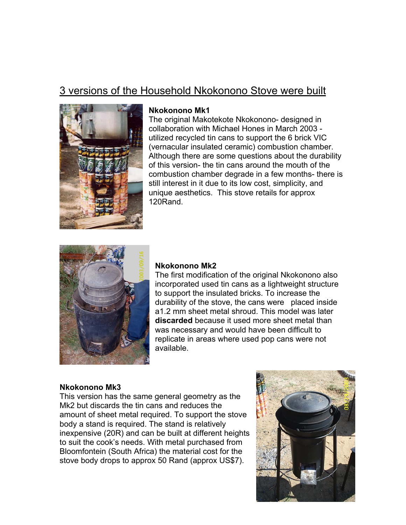# 3 versions of the Household Nkokonono Stove were built



#### **Nkokonono Mk1**

The original Makotekote Nkokonono- designed in collaboration with Michael Hones in March 2003 utilized recycled tin cans to support the 6 brick VIC (vernacular insulated ceramic) combustion chamber. Although there are some questions about the durability of this version- the tin cans around the mouth of the combustion chamber degrade in a few months- there is still interest in it due to its low cost, simplicity, and unique aesthetics. This stove retails for approx 120Rand.



#### **Nkokonono Mk2**

The first modification of the original Nkokonono also incorporated used tin cans as a lightweight structure to support the insulated bricks. To increase the durability of the stove, the cans were placed inside a1.2 mm sheet metal shroud. This model was later **discarded** because it used more sheet metal than was necessary and would have been difficult to replicate in areas where used pop cans were not available.

#### **Nkokonono Mk3**

This version has the same general geometry as the Mk2 but discards the tin cans and reduces the amount of sheet metal required. To support the stove body a stand is required. The stand is relatively inexpensive (20R) and can be built at different heights to suit the cook's needs. With metal purchased from Bloomfontein (South Africa) the material cost for the stove body drops to approx 50 Rand (approx US\$7).

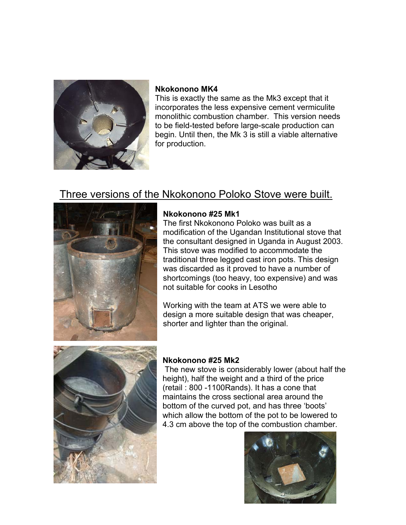

### **Nkokonono MK4**

This is exactly the same as the Mk3 except that it incorporates the less expensive cement vermiculite monolithic combustion chamber. This version needs to be field-tested before large-scale production can begin. Until then, the Mk 3 is still a viable alternative for production.

## Three versions of the Nkokonono Poloko Stove were built.



### **Nkokonono #25 Mk1**

The first Nkokonono Poloko was built as a modification of the Ugandan Institutional stove that the consultant designed in Uganda in August 2003. This stove was modified to accommodate the traditional three legged cast iron pots. This design was discarded as it proved to have a number of shortcomings (too heavy, too expensive) and was not suitable for cooks in Lesotho

Working with the team at ATS we were able to design a more suitable design that was cheaper, shorter and lighter than the original.



### **Nkokonono #25 Mk2**

The new stove is considerably lower (about half the height), half the weight and a third of the price (retail : 800 -1100Rands). It has a cone that maintains the cross sectional area around the bottom of the curved pot, and has three 'boots' which allow the bottom of the pot to be lowered to 4.3 cm above the top of the combustion chamber.

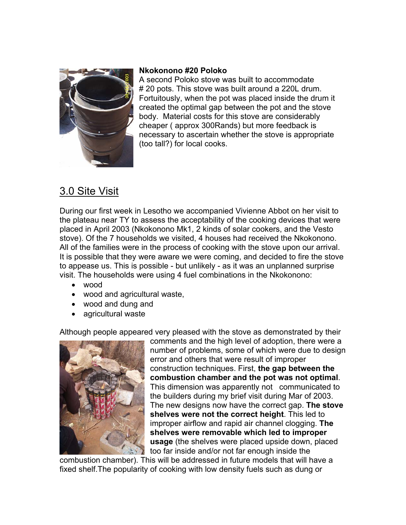

#### **Nkokonono #20 Poloko**

A second Poloko stove was built to accommodate # 20 pots. This stove was built around a 220L drum. Fortuitously, when the pot was placed inside the drum it created the optimal gap between the pot and the stove body. Material costs for this stove are considerably cheaper ( approx 300Rands) but more feedback is necessary to ascertain whether the stove is appropriate (too tall?) for local cooks.

# 3.0 Site Visit

During our first week in Lesotho we accompanied Vivienne Abbot on her visit to the plateau near TY to assess the acceptability of the cooking devices that were placed in April 2003 (Nkokonono Mk1, 2 kinds of solar cookers, and the Vesto stove). Of the 7 households we visited, 4 houses had received the Nkokonono. All of the families were in the process of cooking with the stove upon our arrival. It is possible that they were aware we were coming, and decided to fire the stove to appease us. This is possible - but unlikely - as it was an unplanned surprise visit. The households were using 4 fuel combinations in the Nkokonono:

- wood
- wood and agricultural waste,
- wood and dung and
- agricultural waste

Although people appeared very pleased with the stove as demonstrated by their



comments and the high level of adoption, there were a number of problems, some of which were due to d esignerror and others that were result of improper construction techniques. First, **the gap between the combustion chamber and the pot was not optimal**. This dimension was apparently not communicated to the builders during my brief visit during Mar of 2003. The new designs now have the correct gap. **The stove shelves were not the correct height**. This led to improper airflow and rapid air channel clogging. **The shelves were removable which led to improper usage** (the shelves were placed upside down, placed too far inside and/or not far enough inside the

combustion chamber). This will be addressed in future models that will have a fixed shelf.The popularity of cooking with low density fuels such as dung or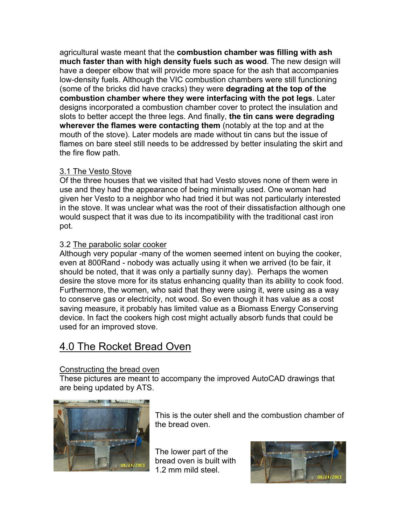agricultural waste meant that the **combustion chamber was filling with ash much faster than with high density fuels such as wood**. The new design will have a deeper elbow that will provide more space for the ash that accompanies low-density fuels. Although the VIC combustion chambers were still functioning (some of the bricks did have cracks) they were **degrading at the top of the combustion chamber where they were interfacing with the pot legs**. Later designs incorporated a combustion chamber cover to protect the insulation and slots to better accept the three legs. And finally, **the tin cans were degrading wherever the flames were contacting them** (notably at the top and at the mouth of the stove). Later models are made without tin cans but the issue of flames on bare steel still needs to be addressed by better insulating the skirt and the fire flow path.

### 3.1 The Vesto Stove

Of the three houses that we visited that had Vesto stoves none of them were in use and they had the appearance of being minimally used. One woman had given her Vesto to a neighbor who had tried it but was not particularly interested in the stove. It was unclear what was the root of their dissatisfaction although one would suspect that it was due to its incompatibility with the traditional cast iron pot.

### 3.2 The parabolic solar cooker

Although very popular -many of the women seemed intent on buying the cooker, even at 800Rand - nobody was actually using it when we arrived (to be fair, it should be noted, that it was only a partially sunny day). Perhaps the women desire the stove more for its status enhancing quality than its ability to cook food. Furthermore, the women, who said that they were using it, were using as a way to conserve gas or electricity, not wood. So even though it has value as a cost saving measure, it probably has limited value as a Biomass Energy Conserving device. In fact the cookers high cost might actually absorb funds that could be used for an improved stove.

# 4.0 The Rocket Bread Oven

### Constructing the bread oven

These pictures are meant to accompany the improved AutoCAD drawings that are being updated by ATS.



This is the outer shell and the combustion chamber of the bread oven.

The lower part of the bread oven is built with 1.2 mm mild steel.

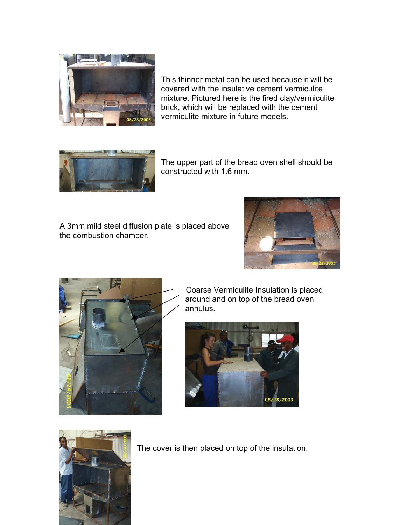

This thinner metal can be used because it will be covered with the insulative cement vermiculite mixture. Pictured here is the fired clay/vermiculite brick, which will be replaced with the cement vermiculite mixture in future models.



The upper part of the bread oven shell should be constructed with 1.6 mm.

A 3mm mild steel diffusion plate is placed above the combustion chamber.





 Coarse Vermiculite Insulation is placed around and on top of the bread oven annulus.





The cover is then placed on top of the insulation.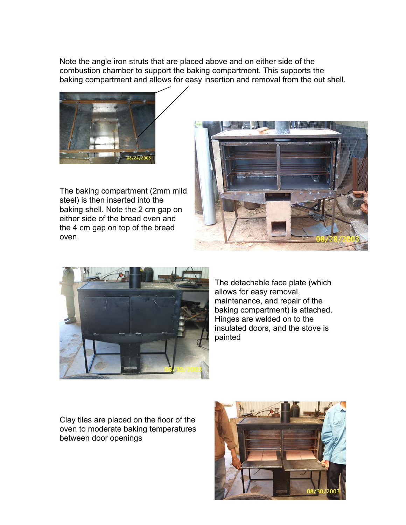Note the angle iron struts that are placed above and on either side of the combustion chamber to support the baking compartment. This supports the baking compartment and allows for easy insertion and removal from the out shell.



The baking compartment (2mm mild baking shell. Note the 2 cm gap on steel) is then inserted into the either side of the bread oven and the 4 cm gap on top of the bread oven.





The detachable face plate (which maintenance, and repair of the . baking compartment) is attached insulated doors, and the stove is allows for easy removal, Hinges are welded on to the painted

Clay tiles are placed on the floor of the oven to moderate baking temperatures between door openings

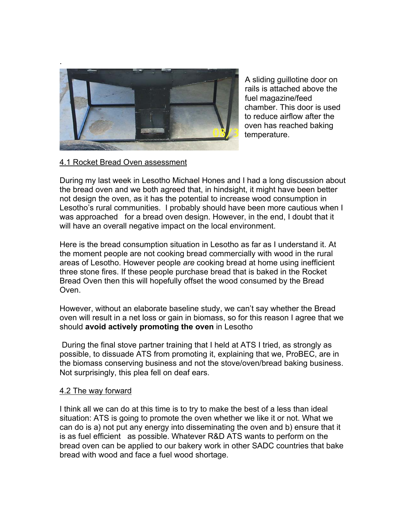

A sliding guillotine door on chamber. This door is used rails is attached above the fuel magazine/feed to reduce airflow after the oven has reached baking temperature.

#### 4.1 Rocket Bread Oven assessment

During my last week in Lesotho Michael Hones and I had a long discussion about Lesotho's rural communities. I probably should have been more cautious when I the bread oven and we both agreed that, in hindsight, it might have been better not design the oven, as it has the potential to increase wood consumption in was approached for a bread oven design. However, in the end, I doubt that it will have an overall negative impact on the local environment.

Here is the bread consumption situation in Lesotho as far as I understand it. At the moment people are not cooking bread commercially with wood in the rural areas of Lesotho. However people *are* cooking bread at home using inefficient three stone fires. If these people purchase bread that is baked in the Rocket Bread Oven then this will hopefully offset the wood consumed by the Bread Oven.

However, without an elaborate baseline study, we can't say whether the Bread oven will result in a net loss or gain in biomass, so for this reason I agree that we should **avoid actively promoting the oven** in Lesotho

During the final stove partner training that I held at ATS I tried, as strongly as possible, to dissuade ATS from promoting it, explaining that we, ProBEC, are in the biomass conserving business and not the stove/oven/bread baking business. Not surprisingly, this plea fell on deaf ears.

#### 4.2 The way forward

I think all we can do at this time is to try to make the best of a less than ideal can do is a) not put any energy into disseminating the oven and b) ensure that it bread oven can be applied to our bakery work in other SADC countries that bake situation: ATS is going to promote the oven whether we like it or not. What we is as fuel efficient as possible. Whatever R&D ATS wants to perform on the bread with wood and face a fuel wood shortage.